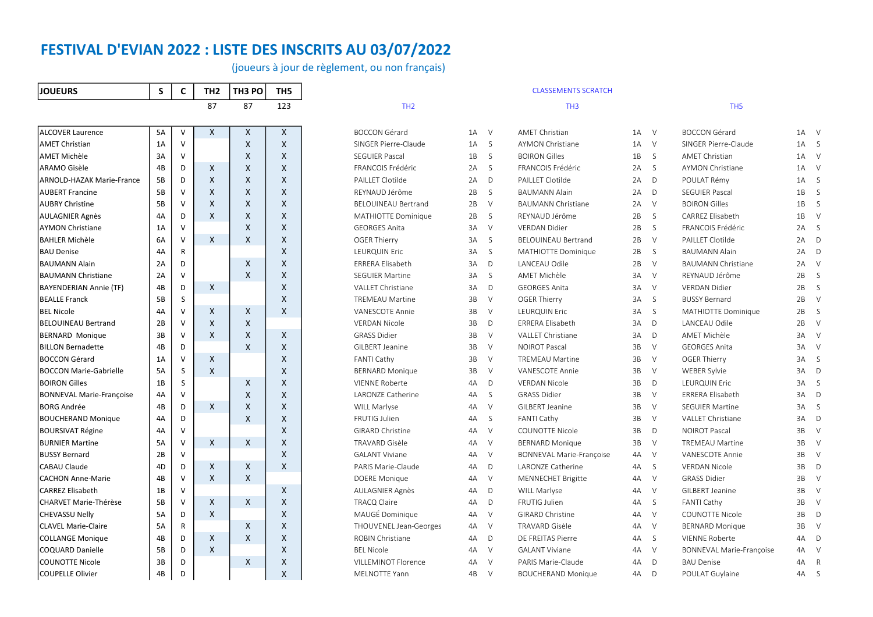(joueurs à jour de règlement, ou non français)

| <b>JOUEURS</b>                   | S         | C | TH <sub>2</sub> | TH3 PO | TH5 |
|----------------------------------|-----------|---|-----------------|--------|-----|
|                                  |           |   | 87              | 87     | 123 |
|                                  |           |   |                 |        |     |
| <b>ALCOVER Laurence</b>          | 5A        | ٧ | X               | Χ      | X   |
| <b>AMET Christian</b>            | 1A        | V |                 | X      | X   |
| <b>AMET Michèle</b>              | 3A        | V |                 | X      | X   |
| ARAMO Gisèle                     | 4B        | D | Χ               | X      | X   |
| <b>ARNOLD-HAZAK Marie-France</b> | 5B        | D | X               | X      | X   |
| <b>AUBERT Francine</b>           | 5B        | V | X               | X      | X   |
| <b>AUBRY Christine</b>           | 5В        | V | Χ               | X      | X   |
| <b>AULAGNIER Agnès</b>           | 4A        | D | X               | X      | X   |
| <b>AYMON Christiane</b>          | 1A        | V |                 | X      | X   |
| <b>BAHLER Michèle</b>            | 6A        | V | X               | X      | X   |
| <b>BAU Denise</b>                | 4A        | R |                 |        | X   |
| <b>BAUMANN Alain</b>             | 2A        | D |                 | X      | X   |
| <b>BAUMANN Christiane</b>        | 2A        | V |                 | X      | X   |
| <b>BAYENDERIAN Annie (TF)</b>    | 4B        | D | X               |        | X   |
| <b>BEALLE Franck</b>             | 5B        | S |                 |        | X   |
| <b>BEL Nicole</b>                | 4A        | V | X               | Χ      | X   |
| <b>BELOUINEAU Bertrand</b>       | 2B        | V | X               | X      |     |
| <b>BERNARD Monique</b>           | 3B        | V | X               | X      | X   |
| <b>BILLON Bernadette</b>         | 4B        | D |                 | X      | X   |
| <b>BOCCON Gérard</b>             | 1A        | V | X               |        | X   |
| <b>BOCCON Marie-Gabrielle</b>    | 5A        | S | X               |        | X   |
| <b>BOIRON Gilles</b>             | 1B        | S |                 | X      | X   |
| <b>BONNEVAL Marie-Françoise</b>  | 4A        | V |                 | X      | X   |
| <b>BORG Andrée</b>               | 4B        | D | X               | X      | X   |
| <b>BOUCHERAND Monique</b>        | 4A        | D |                 | X      | X   |
| <b>BOURSIVAT Régine</b>          | 4A        | V |                 |        | X   |
| <b>BURNIER Martine</b>           | <b>5A</b> | v | X               | X      | X   |
| <b>BUSSY Bernard</b>             | 2B        | ٧ |                 |        | X   |
| <b>CABAU Claude</b>              | 4D        | D | X               | x      | X   |
| <b>CACHON Anne-Marie</b>         | 4B        | V | X               | X      |     |
| <b>CARREZ Elisabeth</b>          | 1B        | V |                 |        | X   |
| <b>CHARVET Marie-Thérèse</b>     | 5B        | V | X               | X      | X   |
| <b>CHEVASSU Nelly</b>            | 5A        | D | X               |        | X   |
| <b>CLAVEL Marie-Claire</b>       | 5A        | R |                 | X      | X   |
| <b>COLLANGE Monique</b>          | 4B        | D | X               | X      | X   |
| <b>COQUARD Danielle</b>          | 5B        | D | X               |        | X   |
| <b>COUNOTTE Nicole</b>           | 3B        | D |                 | X      | X   |
| <b>COUPELLE Olivier</b>          | 4B        | D |                 |        | X   |

|                                  |    |              | 87               | 87           | 123          | TH <sub>2</sub>            |              |        | TH <sub>3</sub>                 |              |              | TH <sub>5</sub>                 |              |                |
|----------------------------------|----|--------------|------------------|--------------|--------------|----------------------------|--------------|--------|---------------------------------|--------------|--------------|---------------------------------|--------------|----------------|
| <b>ALCOVER Laurence</b>          | 5A | $\vee$       | $\mathsf{X}$     | $\mathsf{X}$ | $\mathsf{X}$ | <b>BOCCON Gérard</b>       | $1A \quad V$ |        | <b>AMET Christian</b>           | $1A \quad V$ |              | <b>BOCCON Gérard</b>            | 1A V         |                |
| <b>AMET Christian</b>            | 1A | $\vee$       |                  | X            | X            | SINGER Pierre-Claude       | $1A \quad S$ |        | <b>AYMON Christiane</b>         | 1A           | V            | SINGER Pierre-Claude            | $1A \quad S$ |                |
| AMET Michèle                     | 3A | V            |                  | $\times$     | X            | <b>SEGUIER Pascal</b>      | 1B S         |        | <b>BOIRON Gilles</b>            | 1B           | S.           | <b>AMET Christian</b>           | 1A V         |                |
| ARAMO Gisèle                     | 4B | D            | X                | $\times$     | X            | FRANCOIS Frédéric          | 2A S         |        | FRANCOIS Frédéric               | 2A           | S.           | <b>AYMON Christiane</b>         | 1A V         |                |
| <b>ARNOLD-HAZAK Marie-France</b> | 5B | D            | X                | $\times$     | X            | PAILLET Clotilde           | $2A$ D       |        | PAILLET Clotilde                | 2A           | D            | POULAT Rémy                     | $1A \quad S$ |                |
| <b>AUBERT Francine</b>           | 5B | V            | X                | $\times$     | X            | REYNAUD Jérôme             | 2B           | S      | <b>BAUMANN Alain</b>            | 2A           | D            | <b>SEGUIER Pascal</b>           | 1B S         |                |
| <b>AUBRY Christine</b>           | 5B | V            | $\boldsymbol{X}$ | X            | X            | <b>BELOUINEAU Bertrand</b> | 2B           | $\vee$ | <b>BAUMANN Christiane</b>       | 2A           | $\vee$       | <b>BOIRON Gilles</b>            | 1B           | S              |
| AULAGNIER Agnès                  | 4A | D            | $\mathsf{X}$     | X            | X            | MATHIOTTE Dominique        | 2B           | S      | REYNAUD Jérôme                  | 2B           | S            | CARREZ Elisabeth                | 1B           | V              |
| <b>AYMON Christiane</b>          | 1A | $\vee$       |                  | $\times$     | X            | <b>GEORGES Anita</b>       | 3A V         |        | <b>VERDAN Didier</b>            | 2B           | S            | FRANCOIS Frédéric               | 2A S         |                |
| <b>BAHLER Michèle</b>            | 6A | $\mathsf{V}$ | $\mathsf{X}$     | $\times$     | X            | OGER Thierry               | 3A S         |        | BELOUINEAU Bertrand             | 2B           | $\vee$       | PAILLET Clotilde                | 2A D         |                |
| <b>BAU Denise</b>                | 4A | R            |                  |              | X            | LEURQUIN Eric              | 3A           | S.     | MATHIOTTE Dominique             | 2B           | S            | <b>BAUMANN Alain</b>            | $2A$ D       |                |
| <b>BAUMANN Alain</b>             | 2A | D            |                  | X            | X            | ERRERA Elisabeth           | 3A D         |        | LANCEAU Odile                   | 2B           | $\vee$       | <b>BAUMANN Christiane</b>       | 2A V         |                |
| <b>BAUMANN Christiane</b>        | 2A | v            |                  | $\times$     | X            | <b>SEGUIER Martine</b>     | $3A \quad S$ |        | <b>AMET Michèle</b>             | 3A           | $\vee$       | REYNAUD Jérôme                  | 2B           | S              |
| <b>BAYENDERIAN Annie (TF)</b>    | 4B | D            | $\mathsf{x}$     |              | X            | <b>VALLET Christiane</b>   | 3A           | D      | <b>GEORGES Anita</b>            | 3A           | $\vee$       | <b>VFRDAN Didier</b>            | 2B           | S              |
| <b>BEALLE Franck</b>             | 5B | <sub>S</sub> |                  |              | X            | <b>TREMEAU Martine</b>     | 3B           | V      | <b>OGER Thierry</b>             | 3A           | S.           | <b>BUSSY Bernard</b>            | 2B           | $\vee$         |
| <b>BEL Nicole</b>                | 4A | $\vee$       | $\mathsf{X}$     | $\mathsf{X}$ | X            | <b>VANESCOTE Annie</b>     | 3B           | $\vee$ | LEURQUIN Eric                   | 3A           | S.           | MATHIOTTE Dominique             | 2B           | S              |
| <b>BELOUINEAU Bertrand</b>       | 2B | V            | X                | X            |              | <b>VERDAN Nicole</b>       | 3B           | D      | <b>ERRERA Elisabeth</b>         | 3A           | $\mathsf{D}$ | LANCEAU Odile                   | 2B           | V              |
| <b>BERNARD Monique</b>           | 3B | $\mathsf{V}$ | $\mathsf{X}$     | X            | X            | <b>GRASS Didier</b>        | 3B           | $\vee$ | VALLET Christiane               | 3A           | $\mathsf{D}$ | AMET Michèle                    | 3A V         |                |
| <b>BILLON Bernadette</b>         | 4B | D            |                  | X            | X            | GILBERT Jeanine            | 3B           | $\vee$ | <b>NOIROT Pascal</b>            | 3B           | $\vee$       | <b>GEORGES Anita</b>            | 3A V         |                |
| <b>BOCCON Gérard</b>             | 1A | $\vee$       | $\mathsf{x}$     |              | X            | <b>FANTI Cathy</b>         | 3B           | $\vee$ | <b>TREMEAU Martine</b>          | 3B           | $\vee$       | <b>OGER Thierry</b>             | 3A S         |                |
| <b>BOCCON Marie-Gabrielle</b>    | 5A | S            | $\mathsf{X}$     |              | X            | <b>BERNARD Monique</b>     | 3B           | $\vee$ | VANESCOTE Annie                 | 3B           | $\vee$       | WEBER Sylvie                    | 3A D         |                |
| <b>BOIRON Gilles</b>             | 1B | S            |                  | X            | X            | <b>VIENNE Roberte</b>      | 4A           | D      | <b>VERDAN Nicole</b>            | 3B           | D            | <b>LEURQUIN Eric</b>            | 3A S         |                |
| <b>BONNEVAL Marie-Françoise</b>  | 4A | $\vee$       |                  | $\times$     | X            | LARONZE Catherine          | 4A S         |        | <b>GRASS Didier</b>             | 3B           | $\vee$       | <b>ERRERA Elisabeth</b>         | 3A D         |                |
| BORG Andrée                      | 4B | D            | $\times$         | $\times$     | X            | WILL Marlyse               | 4A           | $\vee$ | GILBERT Jeanine                 | 3B           | $\vee$       | <b>SEGUIER Martine</b>          | 3A           | S              |
| <b>BOUCHERAND Monique</b>        | 4A | D            |                  | X            | X            | <b>FRUTIG Julien</b>       | 4A S         |        | <b>FANTI Cathy</b>              | 3B           | $\vee$       | <b>VALLET Christiane</b>        | 3A D         |                |
| <b>BOURSIVAT Régine</b>          | 4A | $\mathsf{V}$ |                  |              | X            | <b>GIRARD Christine</b>    | 4A           | $\vee$ | <b>COUNOTTE Nicole</b>          | 3B           | D            | <b>NOIROT Pascal</b>            | 3B           | V              |
| <b>BURNIER Martine</b>           | 5A | $\mathsf{V}$ | $\mathsf{x}$     | X            | X            | <b>TRAVARD Gisèle</b>      | 4A           | $\vee$ | <b>BERNARD Monique</b>          | 3B           | $\vee$       | <b>TREMEAU Martine</b>          | 3B           | V              |
| <b>BUSSY Bernard</b>             | 2B | $\vee$       |                  |              | X            | <b>GAI ANT Viviane</b>     | 4A           | $\vee$ | <b>BONNEVAL Marie-Françoise</b> | 4A           | $\vee$       | VANESCOTE Annie                 | 3B           | V              |
| <b>CABAU Claude</b>              | 4D | D            | X                | X            | X            | PARIS Marie-Claude         | 4A D         |        | LARONZE Catherine               | 4A           | S            | <b>VERDAN Nicole</b>            | 3B           | $\overline{D}$ |
| <b>CACHON Anne-Marie</b>         | 4B | $\mathsf{V}$ | $\mathsf{X}$     | X            |              | <b>DOERE</b> Monique       | 4A           | $\vee$ | <b>MENNECHET Brigitte</b>       | 4A           | $\vee$       | <b>GRASS Didier</b>             | 3B           | V              |
| <b>CARREZ Elisabeth</b>          | 1B | $\mathsf{V}$ |                  |              | X            | AULAGNIER Agnès            | 4A D         |        | <b>WILL Marlyse</b>             | 4A           | <b>V</b>     | GILBERT Jeanine                 | 3B           | V              |
| CHARVET Marie-Thérèse            | 5B | $\mathsf{V}$ | $\mathsf{X}$     | X            | X            | <b>TRACQ Claire</b>        | 4A           | D      | FRUTIG Julien                   | 4A           | S            | FANTI Cathy                     | 3B           | V              |
| <b>CHEVASSU Nelly</b>            | 5A | D            | X                |              | X            | MAUGÉ Dominique            | 4A V         |        | <b>GIRARD Christine</b>         | 4A           | $\vee$       | COUNOTTE Nicole                 | 3B           | D              |
| <b>CLAVEL Marie-Claire</b>       | 5A | R            |                  | X            | X            | THOUVENEL Jean-Georges     | 4A           | $\vee$ | TRAVARD Gisèle                  | 4A           | $\vee$       | <b>BERNARD Monique</b>          | 3B           | $\vee$         |
| <b>COLLANGE Monique</b>          | 4B | D            | X                | X            | $\mathsf{x}$ | <b>ROBIN Christiane</b>    | 4A           | D      | DE FREITAS Pierre               | 4A           | S.           | <b>VIENNE Roberte</b>           | 4A D         |                |
| COQUARD Danielle                 | 5B | D            | X                |              | X            | <b>BEL Nicole</b>          | 4A V         |        | <b>GALANT Viviane</b>           | 4A           | - V          | <b>BONNEVAL Marie-Françoise</b> | 4A V         |                |
| <b>COUNOTTE Nicole</b>           | 3B | D            |                  | X            | X            | <b>VILLEMINOT Florence</b> | 4A           | $\vee$ | PARIS Marie-Claude              | 4A           | D            | <b>BAU Denise</b>               | 4A R         |                |
| <b>COUPELLE Olivier</b>          | 4B | D            |                  |              | X            | MELNOTTE Yann              | 4B           | $\vee$ | <b>BOUCHERAND Monique</b>       | 4A           | $\mathsf{D}$ | POULAT Guylaine                 | 4A S         |                |

CLASSEMENTS SCRATCH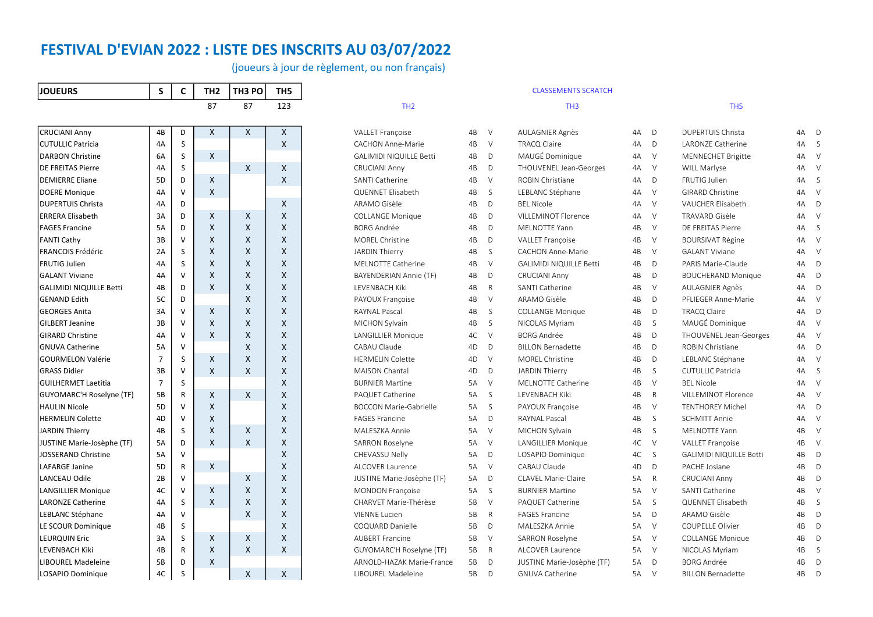(joueurs à jour de règlement, ou non français)

| <b>JOUEURS</b>                  | S              | C | TH <sub>2</sub> | TH3 PO | TH <sub>5</sub> |
|---------------------------------|----------------|---|-----------------|--------|-----------------|
|                                 |                |   | 87              | 87     | 123             |
|                                 |                |   |                 |        |                 |
| <b>CRUCIANI Anny</b>            | 4B             | D | X               | X      | X               |
| <b>CUTULLIC Patricia</b>        | 4A             | S |                 |        | X               |
| <b>DARBON Christine</b>         | 6A             | S | Χ               |        |                 |
| <b>DE FREITAS Pierre</b>        | 4A             | S |                 | X      | X               |
| <b>DEMIERRE Eliane</b>          | 5D             | D | X               |        | X               |
| <b>DOERE Monique</b>            | 4A             | V | X               |        |                 |
| <b>DUPERTUIS Christa</b>        | 4A             | D |                 |        | X               |
| <b>ERRERA Elisabeth</b>         | 3A             | D | X               | X      | X               |
| <b>FAGES Francine</b>           | 5A             | D | X               | Χ      | X               |
| <b>FANTI Cathy</b>              | 3B             | V | X               | X      | X               |
| <b>FRANCOIS Frédéric</b>        | 2A             | S | Χ               | X      | Χ               |
| <b>FRUTIG Julien</b>            | 4A             | S | X               | X      | X               |
| <b>GALANT Viviane</b>           | 4A             | V | X               | X      | X               |
| <b>GALIMIDI NIQUILLE Betti</b>  | 4B             | D | X               | X      | X               |
| <b>GENAND Edith</b>             | 5C             | D |                 | X      | X               |
| <b>GEORGES Anita</b>            | 3A             | V | Χ               | X      | X               |
| <b>GILBERT Jeanine</b>          | ЗB             | V | X               | X      | X               |
| <b>GIRARD Christine</b>         | 4A             | V | X               | Χ      | X               |
| <b>GNUVA Catherine</b>          | <b>5A</b>      | V |                 | X      | X               |
| <b>GOURMELON Valérie</b>        | $\overline{7}$ | S | X               | X      | X               |
| <b>GRASS Didier</b>             | 3B             | V | X               | X      | X               |
| <b>GUILHERMET Laetitia</b>      | 7              | S |                 |        | X               |
| <b>GUYOMARC'H Roselyne (TF)</b> | 5B             | R | X               | X      | X               |
| <b>HAULIN Nicole</b>            | 5D             | V | X               |        | X               |
| <b>HERMELIN Colette</b>         | 4D             | V | X               |        | X               |
| JARDIN Thierry                  | 4B             | S | Χ               | Χ      | X               |
| JUSTINE Marie-Josèphe (TF)      | 5A             | D | X               | X      | Χ               |
| <b>JOSSERAND Christine</b>      | 5A             | v |                 |        | X               |
| <b>LAFARGE Janine</b>           | 5D             | R | X               |        | X               |
| LANCEAU Odile                   | 2B             | V |                 | X      | X               |
| <b>LANGILLIER Monique</b>       | 4C             | V | X               | X      | X               |
| <b>LARONZE Catherine</b>        | 4A             | S | X               | Χ      | X               |
| LEBLANC Stéphane                | 4A             | V |                 | X      | X               |
| LE SCOUR Dominique              | 4B             | S |                 |        | X               |
| <b>LEURQUIN Eric</b>            | 3A             | S | Χ               | Χ      | Χ               |
| <b>LEVENBACH Kiki</b>           | 4B             | R | X               | X      | X               |
| <b>LIBOUREL Madeleine</b>       | 5B             | D | X               |        |                 |
| LOSAPIO Dominique               | 4C             | Ś |                 | X      | X               |

|                                 |                |              | 87                        | 87                        | 123 | TH <sub>2</sub>                |      |              | TH <sub>3</sub>                |           |              | TH <sub>5</sub>                |      |              |
|---------------------------------|----------------|--------------|---------------------------|---------------------------|-----|--------------------------------|------|--------------|--------------------------------|-----------|--------------|--------------------------------|------|--------------|
| <b>CRUCIANI Anny</b>            | 4B             | D            | $\mathsf{X}$              | $\mathsf{X}$              | X   | VALLET Françoise               | 4B   | $\vee$       | <b>AULAGNIER Agnès</b>         | 4A        | D            | DUPERTUIS Christa              | 4A D |              |
| <b>CUTULLIC Patricia</b>        | 4A             | S            |                           |                           | X   | <b>CACHON Anne-Marie</b>       | 4B   | $\vee$       | <b>TRACQ Claire</b>            | 4A        | D            | LARONZE Catherine              | 4A S |              |
| <b>DARBON Christine</b>         | 6A             | S            | $\mathsf{X}$              |                           |     | <b>GALIMIDI NIQUILLE Betti</b> | 4B   | D            | MAUGÉ Dominique                | 4A        | $\vee$       | <b>MENNECHET Brigitte</b>      |      | 4A V         |
| <b>DE FREITAS Pierre</b>        | 4A             | S            |                           | X                         | X   | <b>CRUCIANI Anny</b>           | 4B   | D            | THOUVENEL Jean-Georges         | 4A        | <b>V</b>     | WILL Marlyse                   |      | 4A V         |
| <b>DEMIERRE Eliane</b>          | 5D             | D            | X                         |                           | X   | SANTI Catherine                | 4B   | $\vee$       | ROBIN Christiane               | 4A        | D            | FRUTIG Julien                  | 4A   | S            |
| <b>DOERE Monique</b>            | 4A             | $\vee$       | $\boldsymbol{\mathsf{X}}$ |                           |     | QUENNET Elisabeth              | 4B   | S            | LEBLANC Stéphane               | 4A        | $\vee$       | GIRARD Christine               | 4A V |              |
| <b>DUPERTUIS Christa</b>        | 4A             | D            |                           |                           | X   | ARAMO Gisèle                   | 4B   | D            | <b>BEL Nicole</b>              | 4A        | $\vee$       | VAUCHER Elisabeth              | 4A D |              |
| <b>ERRERA Elisabeth</b>         | 3A             | D            | $\mathsf{X}$              | $\times$                  | X   | <b>COLLANGE Monique</b>        | 4B   | D            | <b>VILLEMINOT Florence</b>     | 4A        | <b>V</b>     | <b>TRAVARD Gisèle</b>          | 4A V |              |
| <b>FAGES Francine</b>           | 5A             | D            | $\mathsf{x}$              | $\times$                  | X   | <b>BORG Andrée</b>             | 4B   | D            | <b>MELNOTTE Yann</b>           | 4B        | $\vee$       | DE FREITAS Pierre              | 4A S |              |
| FANTI Cathy                     | 3B             | v            | $\boldsymbol{\mathsf{X}}$ | X                         | X   | MOREL Christine                | 4B   | D            | <b>VALLET Francoise</b>        | 4B        | $\vee$       | <b>BOURSIVAT Régine</b>        | 4A V |              |
| <b>FRANCOIS Frédéric</b>        | 2A             | S            | $\boldsymbol{X}$          | X                         | X   | JARDIN Thierry                 | 4B   | S.           | <b>CACHON Anne-Marie</b>       | 4B        | $\vee$       | <b>GALANT Viviane</b>          | 4A V |              |
| <b>FRUTIG Julien</b>            | 4A             | S            | X                         | X                         | X   | MELNOTTE Catherine             | 4B   | $\vee$       | <b>GALIMIDI NIQUILLE Betti</b> | 4B        | D            | PARIS Marie-Claude             | 4A D |              |
| <b>GALANT Viviane</b>           | 4A             | $\mathsf{V}$ | X                         | $\boldsymbol{\mathsf{x}}$ | X   | BAYENDERIAN Annie (TF)         | 4B   | D            | <b>CRUCIANI Anny</b>           | 4B        | D            | <b>BOUCHERAND Monique</b>      | 4A D |              |
| GALIMIDI NIQUILLE Betti         | 4B             | D            | $\mathsf{X}$              | $\times$                  | X   | LEVENBACH Kiki                 | 4B   | R            | SANTI Catherine                | 4B        | $\vee$       | AULAGNIER Agnès                |      | 4A D         |
| <b>GENAND Edith</b>             | 5C             | D            |                           | $\times$                  | X   | PAYOUX Françoise               | 4B   | $\vee$       | ARAMO Gisèle                   | 4B        | D            | PFLIEGER Anne-Marie            | 4A V |              |
| <b>GEORGES Anita</b>            | 3A             | $\vee$       | X                         | X                         | X   | <b>RAYNAL Pascal</b>           | 4B   | S            | <b>COLLANGE Monique</b>        | 4B        | D            | TRACQ Claire                   | 4A D |              |
| <b>GILBERT Jeanine</b>          | 3B             | $\vee$       | $\mathsf{X}$              | $\times$                  | X   | MICHON Sylvain                 | 4B   | S.           | NICOLAS Myriam                 | 4B        | S            | MAUGÉ Dominique                | 4A V |              |
| <b>GIRARD Christine</b>         | 4A             | $\vee$       | $\mathsf{x}$              | $\times$                  | X   | <b>LANGILLIER Monique</b>      | 4C   | $\vee$       | <b>BORG Andrée</b>             | 4B        | D            | THOUVENEL Jean-Georges         |      | 4A V         |
| <b>GNUVA Catherine</b>          | 5A             | $\vee$       |                           | $\times$                  | X   | CABAU Claude                   | 4D   | D            | <b>BILLON Bernadette</b>       | 4B        | D            | <b>ROBIN Christiane</b>        |      | 4A D         |
| <b>GOURMELON Valérie</b>        | $\overline{7}$ | S            | X                         | $\times$                  | X   | <b>HERMELIN Colette</b>        | 4D   | $\vee$       | MOREL Christine                | 4B        | D            | LEBLANC Stéphane               | 4A V |              |
| <b>GRASS Didier</b>             | 3B             | $\vee$       | $\boldsymbol{X}$          | $\times$                  | X   | MAISON Chantal                 | 4D   | D            | <b>JARDIN Thierry</b>          | 4B        | S            | <b>CUTULLIC Patricia</b>       | 4A S |              |
| <b>GUILHERMET Laetitia</b>      | $\overline{7}$ | S            |                           |                           | X   | <b>BURNIER Martine</b>         | 5A   | $\vee$       | MELNOTTE Catherine             | 4B        | $\vee$       | <b>BEL Nicole</b>              | 4A V |              |
| <b>GUYOMARC'H Roselyne (TF)</b> | 5B             | R            | $\mathsf{x}$              | X                         | X   | PAQUET Catherine               | 5A   | S.           | LEVENBACH Kiki                 | 4B        | $\mathsf{R}$ | VILLEMINOT Florence            | 4A V |              |
| <b>HAULIN Nicole</b>            | 5D             | $\vee$       | X                         |                           | X   | <b>BOCCON Marie-Gabrielle</b>  | 5A S |              | PAYOUX Françoise               | 4B        | $\vee$       | <b>TENTHOREY Michel</b>        | 4A D |              |
| <b>HERMELIN Colette</b>         | 4D             | V            | X                         |                           | X   | <b>FAGES Francine</b>          | 5A   | $\mathsf{D}$ | RAYNAL Pascal                  | 4B        | <sub>S</sub> | <b>SCHMITT Annie</b>           | 4A V |              |
| JARDIN Thierry                  | 4B             | S            | $\boldsymbol{X}$          | X                         | X   | MALESZKA Annie                 | 5A   | $\vee$       | MICHON Sylvain                 | 4B        | S            | <b>MELNOTTE Yann</b>           | 4B   | V            |
| JUSTINE Marie-Josèphe (TF)      | 5A             | D            | $\boldsymbol{X}$          | X                         | X   | SARRON Roselyne                | 5A   | $\vee$       | LANGILLIER Monique             | 4C        | $\vee$       | VALLET Françoise               | 4B   | $\vee$       |
| JOSSERAND Christine             | 5A             | $\vee$       |                           |                           | X   | CHEVASSU Nelly                 | 5A D |              | LOSAPIO Dominique              | 4C        | S.           | <b>GALIMIDI NIQUILLE Betti</b> | 4B   | D            |
| LAFARGE Janine                  | 5 <sub>D</sub> | R            | $\times$                  |                           | X   | ALCOVER Laurence               | 5A   | $\vee$       | CABAU Claude                   | 4D        | D            | PACHE Josiane                  | 4B   | D            |
| LANCEAU Odile                   | 2B             | $\vee$       |                           | $\times$                  | X   | JUSTINE Marie-Josèphe (TF)     | 5A   | $\mathsf{D}$ | <b>CLAVEL Marie-Claire</b>     | 5A        | $\mathsf{R}$ | <b>CRUCIANI Anny</b>           | 4B   | D            |
| LANGILLIER Monique              | 4C             | $\vee$       | $\mathsf{X}$              | X                         | X   | <b>MONDON Françoise</b>        | 5A S |              | <b>BURNIER Martine</b>         | 5A        | $\vee$       | SANTI Catherine                | 4B   | V            |
| <b>LARONZE Catherine</b>        | 4A             | S            | X                         | X                         | X   | CHARVET Marie-Thérèse          | 5B   | $\vee$       | PAQUET Catherine               | 5A        | S            | QUENNET Elisabeth              | 4B   | S            |
| <b>LEBLANC Stéphane</b>         | 4A             | $\vee$       |                           | X                         | X   | <b>VIENNE Lucien</b>           | 5B   | $\mathsf{R}$ | <b>FAGES Francine</b>          | <b>5A</b> | D            | ARAMO Gisèle                   | 4B   | D            |
| LE SCOUR Dominique              | 4B             | S            |                           |                           | X   | COQUARD Danielle               | 5B   | D            | MALESZKA Annie                 | 5A        | $\vee$       | <b>COUPELLE Olivier</b>        | 4B   | $\mathsf{D}$ |
| <b>LEURQUIN Eric</b>            | 3A             | S            | $\mathsf{x}$              | X                         | X   | <b>AUBERT Francine</b>         | 5B   | $\vee$       | <b>SARRON Roselyne</b>         | 5A        | V            | <b>COLLANGE Monique</b>        | 4B   | D            |
| LEVENBACH Kiki                  | 4B             | R            | X                         | X                         | X   | GUYOMARC'H Roselyne (TF)       | 5B   | R            | <b>ALCOVER Laurence</b>        | 5A        | $\vee$       | NICOLAS Myriam                 | 4B   | S.           |
| LIBOUREL Madeleine              | 5B             | D            | $\mathsf{x}$              |                           |     | ARNOLD-HAZAK Marie-France      | 5B   | D            | JUSTINE Marie-Josèphe (TF)     | 5A        | D            | <b>BORG Andrée</b>             | 4B   | D            |
| LOSAPIO Dominique               | 4C             | <sub>S</sub> |                           | $\times$                  | X   | LIBOUREL Madeleine             | 5B   | $\mathsf{D}$ | <b>GNUVA Catherine</b>         | 5A        | $\vee$       | <b>BILLON Bernadette</b>       | 4B   | D            |

CLASSEMENTS SCRATCH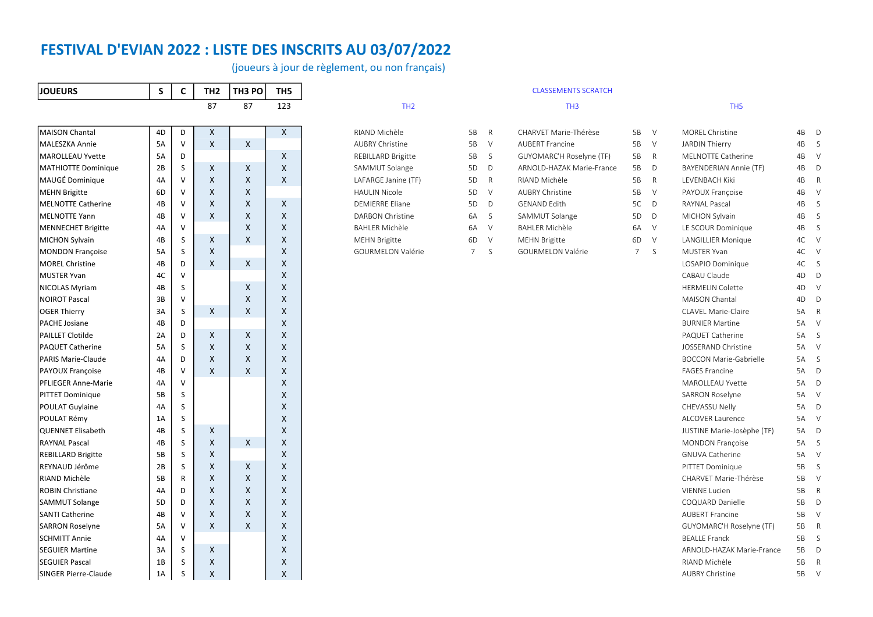(joueurs à jour de règlement, ou non français)

| <b>JOUEURS</b>             | S              | C            | TH <sub>2</sub> | TH <sub>3</sub> PO | TH <sub>5</sub> |                         |             |              | <b>CLASSEMENTS SCRATCH</b> |                |        |                               |      |        |
|----------------------------|----------------|--------------|-----------------|--------------------|-----------------|-------------------------|-------------|--------------|----------------------------|----------------|--------|-------------------------------|------|--------|
|                            |                |              | 87              | 87                 | 123             | TH <sub>2</sub>         |             |              | TH <sub>3</sub>            |                |        | TH <sub>5</sub>               |      |        |
| <b>MAISON Chantal</b>      | 4D             | D            | X               |                    | $\mathsf{X}$    | RIAND Michèle           | 5B          | $\mathsf{R}$ | CHARVET Marie-Thérèse      | 5B             | $\vee$ | MOREL Christine               | 4B D |        |
| MALESZKA Annie             | 5A             | $\vee$       | X               | $\mathsf{X}$       |                 | <b>AUBRY Christine</b>  | 5B          | $\vee$       | <b>AUBERT Francine</b>     | 5B             | $\vee$ | JARDIN Thierry                | 4B S |        |
| <b>MAROLLEAU Yvette</b>    | 5A             | D            |                 |                    | X               | REBILLARD Brigitte      | 5B          | S.           | GUYOMARC'H Roselyne (TF)   | 5B             | R      | MELNOTTE Catherine            | 4B V |        |
| <b>MATHIOTTE Dominique</b> | 2B             | S            | X               | X                  | X               | SAMMUT Solange          | 5D          | D            | ARNOLD-HAZAK Marie-France  | 5B             | D      | BAYENDERIAN Annie (TF)        | 4B   | D      |
| MAUGÉ Dominique            | 4A             | $\vee$       | X               | X                  | X               | LAFARGE Janine (TF)     | 5D          | $\mathsf{R}$ | RIAND Michèle              | 5B             | R      | LEVENBACH Kiki                | 4B   | R      |
| <b>MEHN Brigitte</b>       | 6D             | $\vee$       | X               | X                  |                 | <b>HAULIN Nicole</b>    | 5D          | $\vee$       | <b>AUBRY Christine</b>     | 5B             | $\vee$ | PAYOUX Françoise              | 4B   | $\vee$ |
| <b>MELNOTTE Catherine</b>  | 4B             | $\vee$       | X               | X                  | X               | <b>DEMIERRE Eliane</b>  | 5D          | D            | <b>GENAND Edith</b>        | 5C             | D      | <b>RAYNAL Pascal</b>          | 4B   | S      |
| <b>MELNOTTE Yann</b>       | 4B             | $\vee$       | X               | X                  | X               | <b>DARBON Christine</b> | 6A          | <sub>S</sub> | SAMMUT Solange             | 5D             | D      | <b>MICHON Sylvain</b>         | 4B   | S      |
| <b>MENNECHET Brigitte</b>  | 4A             | $\vee$       |                 | X                  | $\mathsf{x}$    | <b>BAHLER Michèle</b>   | 6A          | $\vee$       | <b>BAHLER Michèle</b>      | 6A             | $\vee$ | LE SCOUR Dominique            | 4B S |        |
| <b>MICHON Sylvain</b>      | 4B             | S            | X               | X                  | X               | <b>MEHN Brigitte</b>    | 6D          | $\vee$       | <b>MEHN Brigitte</b>       | 6D             | $\vee$ | <b>LANGILLIER Monique</b>     | 4C V |        |
| <b>MONDON Françoise</b>    | 5A             | S            | X               |                    | X               | GOURMELON Valérie       | $7^{\circ}$ | S            | GOURMELON Valérie          | 7 <sup>7</sup> | S.     | <b>MUSTER Yvan</b>            | 4C V |        |
| <b>MOREL Christine</b>     | 4B             | D            | $\mathsf{x}$    | $\times$           | X               |                         |             |              |                            |                |        | LOSAPIO Dominique             | 4C S |        |
| <b>MUSTER Yvan</b>         | 4C             | $\vee$       |                 |                    | X               |                         |             |              |                            |                |        | CABAU Claude                  | 4D D |        |
| <b>NICOLAS Myriam</b>      | 4B             | S            |                 | X                  | $\mathsf{x}$    |                         |             |              |                            |                |        | <b>HERMELIN Colette</b>       | 4D V |        |
| <b>NOIROT Pascal</b>       | 3B             | $\vee$       |                 | X                  | X               |                         |             |              |                            |                |        | MAISON Chantal                | 4D   | D      |
| <b>OGER Thierry</b>        | 3A             | S            | X               | X                  | X               |                         |             |              |                            |                |        | CLAVEL Marie-Claire           | 5A R |        |
| PACHE Josiane              | 4B             | D            |                 |                    | X               |                         |             |              |                            |                |        | <b>BURNIER Martine</b>        | 5A V |        |
| <b>PAILLET Clotilde</b>    | 2A             | D            | X               | X                  | X               |                         |             |              |                            |                |        | PAQUET Catherine              | 5A S |        |
| <b>PAQUET Catherine</b>    | 5A             | S            | X               | X                  | X               |                         |             |              |                            |                |        | JOSSERAND Christine           | 5A V |        |
| <b>PARIS Marie-Claude</b>  | 4A             | D            | X               | X                  | $\mathsf{x}$    |                         |             |              |                            |                |        | <b>BOCCON Marie-Gabrielle</b> | 5A S |        |
| PAYOUX Françoise           | 4B             | $\vee$       | X               | X                  | X               |                         |             |              |                            |                |        | <b>FAGES Francine</b>         | 5A D |        |
| PFLIEGER Anne-Marie        | 4A             | $\vee$       |                 |                    | X               |                         |             |              |                            |                |        | MAROLLEAU Yvette              | 5A D |        |
| <b>PITTET Dominique</b>    | 5B             | S            |                 |                    | $\mathsf{x}$    |                         |             |              |                            |                |        | <b>SARRON Roselyne</b>        | 5A V |        |
| POULAT Guylaine            | 4A             | S            |                 |                    | $\mathsf{x}$    |                         |             |              |                            |                |        | CHEVASSU Nelly                | 5A D |        |
| POULAT Rémy                | 1A             | S            |                 |                    | X               |                         |             |              |                            |                |        | ALCOVER Laurence              | 5A V |        |
| <b>QUENNET Elisabeth</b>   | 4B             | S            | X               |                    | X               |                         |             |              |                            |                |        | JUSTINE Marie-Josèphe (TF)    | 5A D |        |
| <b>RAYNAL Pascal</b>       | 4B             | S            | X               | X                  | X               |                         |             |              |                            |                |        | <b>MONDON Françoise</b>       | 5A S |        |
| <b>REBILLARD Brigitte</b>  | 5B             | S            | $\mathsf{x}$    |                    | $\mathsf{x}$    |                         |             |              |                            |                |        | <b>GNUVA Catherine</b>        | 5A V |        |
| REYNAUD Jérôme             | 2B             | S            | X               | X                  | $\mathsf{x}$    |                         |             |              |                            |                |        | PITTET Dominique              | 5B   | S      |
| RIAND Michèle              | 5B             | R            | X               | X                  | X               |                         |             |              |                            |                |        | CHARVET Marie-Thérèse         | 5B   | $\vee$ |
| ROBIN Christiane           | 4A             | D            | X               | X                  | X               |                         |             |              |                            |                |        | <b>VIENNE Lucien</b>          | 5B   | R      |
| <b>SAMMUT Solange</b>      | 5 <sub>D</sub> | D            | X               | X                  | X               |                         |             |              |                            |                |        | COQUARD Danielle              | 5B   | D      |
| <b>SANTI Catherine</b>     | 4B             | $\mathsf{V}$ | X               | X                  | $\mathsf{x}$    |                         |             |              |                            |                |        | <b>AUBERT Francine</b>        | 5B V |        |
| <b>SARRON Roselyne</b>     | 5A             | $\vee$       | X               | X                  | X               |                         |             |              |                            |                |        | GUYOMARC'H Roselyne (TF)      | 5B   | R      |
| <b>SCHMITT Annie</b>       | 4A             | $\vee$       |                 |                    | X               |                         |             |              |                            |                |        | <b>BEALLE Franck</b>          | 5B S |        |
| <b>SEGUIER Martine</b>     | 3A             | S            | X               |                    | X               |                         |             |              |                            |                |        | ARNOLD-HAZAK Marie-France     | 5B D |        |
| <b>SEGUIER Pascal</b>      | 1B             | S            | x               |                    | $\mathsf{x}$    |                         |             |              |                            |                |        | RIAND Michèle                 | 5B   | R      |
| SINGER Pierre-Claude       | 1A             | S            | X               |                    | $\mathsf{x}$    |                         |             |              |                            |                |        | <b>AUBRY Christine</b>        | 5B   | V      |

# REBILLARD Brigitte 5B S GUYOMARC'H Roselyne (TF) 5B R SAMMUT Solange 3D D ARNOLD-HAZAK Marie-France 5B D

| <b>MOREL Christine</b>           | 4B | D            |
|----------------------------------|----|--------------|
| JARDIN Thierry                   | 4B | S            |
| <b>MELNOTTE Catherine</b>        | 4B | V            |
| BAYENDERIAN Annie (TF)           | 4B | D            |
| <b>I FVFNBACH Kiki</b>           | 4B | $\mathsf{R}$ |
| PAYOUX Françoise                 | 4B | V            |
| <b>RAYNAL Pascal</b>             | 4B | S            |
| MICHON Sylvain                   | 4B | S            |
| LE SCOUR Dominique               | 4B | S            |
| LANGILLIER Monique               | 4C | V            |
| <b>MUSTER Yvan</b>               | 4C | V            |
| LOSAPIO Dominique                | 4C | S            |
| CABAU Claude                     | 4D | D            |
| <b>HERMELIN Colette</b>          | 4D | V            |
| MAISON Chantal                   | 4D | D            |
| CLAVEL Marie-Claire              | 5A | $\mathsf{R}$ |
| <b>BURNIFR Martine</b>           | 5A | $\vee$       |
| PAQUET Catherine                 | 5A | S            |
| <b>JOSSERAND Christine</b>       | 5A | $\vee$       |
| <b>BOCCON Marie-Gabrielle</b>    | 5A | S            |
| <b>FAGES Francine</b>            | 5A | D            |
| <b>MAROLLEAU Yvette</b>          | 5A | D            |
| <b>SARRON Roselyne</b>           | 5A | $\vee$       |
| <b>CHEVASSU Nelly</b>            | 5A | D            |
| <b>ALCOVER Laurence</b>          | 5A | V            |
| JUSTINE Marie-Josèphe (TF)       | 5A | D            |
| <b>MONDON Francoise</b>          | 5A | S            |
| <b>GNUVA Catherine</b>           | 5A | $\vee$       |
| PITTET Dominique                 | 5B | S            |
| CHARVET Marie-Thérèse            | 5B | V            |
| <b>VIENNE Lucien</b>             | 5B | R            |
| COQUARD Danielle                 | 5B | D            |
| <b>AUBERT Francine</b>           | 5B | V            |
| GUYOMARC'H Roselyne (TF)         | 5B | R            |
| <b>BEALLE Franck</b>             | 5B | S            |
| <b>ARNOLD-HAZAK Marie-France</b> | 5В | D            |
| RIAND Michèle                    | 5B | R            |
| <b>AUBRY Christine</b>           | 5B | V            |